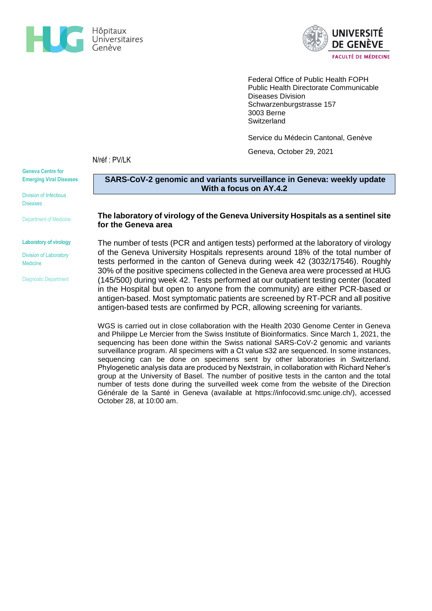



Federal Office of Public Health FOPH Public Health Directorate Communicable Diseases Division Schwarzenburgstrasse 157 3003 Berne **Switzerland** 

Service du Médecin Cantonal, Genève

Geneva, October 29, 2021

N/réf : PV/LK

**Geneva Centre for Emerging Viral Diseases**

Division of Infectious Diseases

Department of Medicine

#### **Laboratory of virology**

### Division of Laboratory Medicine

Diagnostic Department

## **SARS-CoV-2 genomic and variants surveillance in Geneva: weekly update With a focus on AY.4.2**

## **The laboratory of virology of the Geneva University Hospitals as a sentinel site for the Geneva area**

The number of tests (PCR and antigen tests) performed at the laboratory of virology of the Geneva University Hospitals represents around 18% of the total number of tests performed in the canton of Geneva during week 42 (3032/17546). Roughly 30% of the positive specimens collected in the Geneva area were processed at HUG (145/500) during week 42. Tests performed at our outpatient testing center (located in the Hospital but open to anyone from the community) are either PCR-based or antigen-based. Most symptomatic patients are screened by RT-PCR and all positive antigen-based tests are confirmed by PCR, allowing screening for variants.

WGS is carried out in close collaboration with the Health 2030 Genome Center in Geneva and Philippe Le Mercier from the Swiss Institute of Bioinformatics. Since March 1, 2021, the sequencing has been done within the Swiss national SARS-CoV-2 genomic and variants surveillance program. All specimens with a Ct value ≤32 are sequenced. In some instances, sequencing can be done on specimens sent by other laboratories in Switzerland. Phylogenetic analysis data are produced by Nextstrain, in collaboration with Richard Neher's group at the University of Basel. The number of positive tests in the canton and the total number of tests done during the surveilled week come from the website of the Direction Générale de la Santé in Geneva (available at [https://infocovid.smc.unige.ch/\)](https://infocovid.smc.unige.ch/), accessed October 28, at 10:00 am.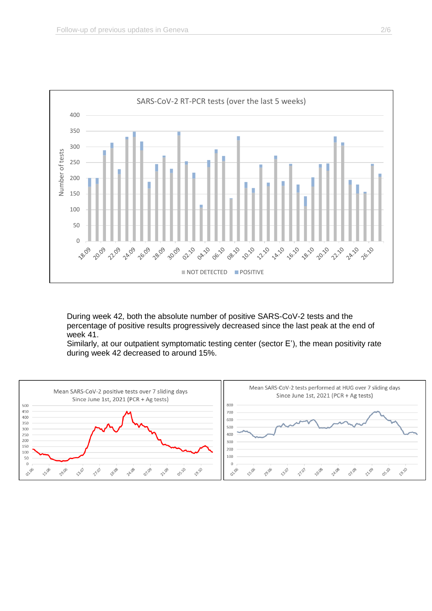

During week 42, both the absolute number of positive SARS-CoV-2 tests and the percentage of positive results progressively decreased since the last peak at the end of week 41.

Similarly, at our outpatient symptomatic testing center (sector E'), the mean positivity rate during week 42 decreased to around 15%.

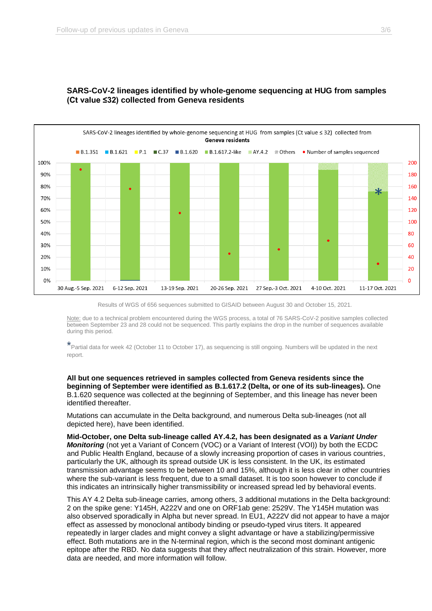

# **SARS-CoV-2 lineages identified by whole-genome sequencing at HUG from samples (Ct value ≤32) collected from Geneva residents**

Results of WGS of 656 sequences submitted to GISAID between August 30 and October 15, 2021.

Note: due to a technical problem encountered during the WGS process, a total of 76 SARS-CoV-2 positive samples collected between September 23 and 28 could not be sequenced. This partly explains the drop in the number of sequences available during this period.

\*Partial data for week 42 (October 11 to October 17), as sequencing is still ongoing. Numbers will be updated in the next report.

**All but one sequences retrieved in samples collected from Geneva residents since the beginning of September were identified as B.1.617.2 (Delta, or one of its sub-lineages).** One B.1.620 sequence was collected at the beginning of September, and this lineage has never been identified thereafter.

Mutations can accumulate in the Delta background, and numerous Delta sub-lineages (not all depicted here), have been identified.

**Mid-October, one Delta sub-lineage called AY.4.2, has been designated as a** *Variant Under Monitoring* (not yet a Variant of Concern (VOC) or a Variant of Interest (VOI)) by both the ECDC and Public Health England, because of a slowly increasing proportion of cases in various countries, particularly the UK, although its spread outside UK is less consistent. In the UK, its estimated transmission advantage seems to be between 10 and 15%, although it is less clear in other countries where the sub-variant is less frequent, due to a small dataset. It is too soon however to conclude if this indicates an intrinsically higher transmissibility or increased spread led by behavioral events.

This AY 4.2 Delta sub-lineage carries, among others, 3 additional mutations in the Delta background: 2 on the spike gene: Y145H, A222V and one on ORF1ab gene: 2529V. The Y145H mutation was also observed sporadically in Alpha but never spread. In EU1, A222V did not appear to have a major effect as assessed by monoclonal antibody binding or pseudo-typed virus titers. It appeared repeatedly in larger clades and might convey a slight advantage or have a stabilizing/permissive effect. Both mutations are in the N-terminal region, which is the second most dominant antigenic epitope after the RBD. No data suggests that they affect neutralization of this strain. However, more data are needed, and more information will follow.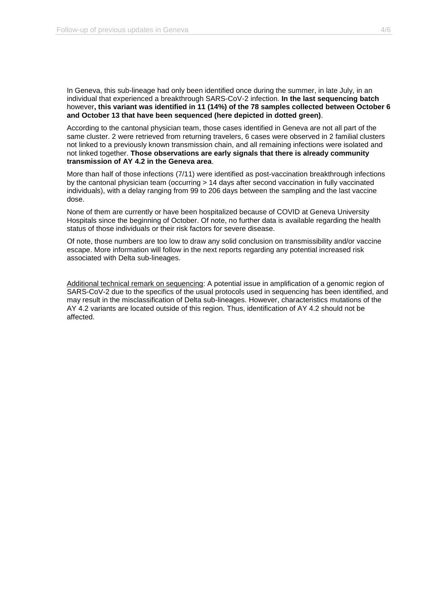In Geneva, this sub-lineage had only been identified once during the summer, in late July, in an individual that experienced a breakthrough SARS-CoV-2 infection. **In the last sequencing batch**  however**, this variant was identified in 11 (14%) of the 78 samples collected between October 6 and October 13 that have been sequenced (here depicted in dotted green)**.

According to the cantonal physician team, those cases identified in Geneva are not all part of the same cluster. 2 were retrieved from returning travelers, 6 cases were observed in 2 familial clusters not linked to a previously known transmission chain, and all remaining infections were isolated and not linked together. **Those observations are early signals that there is already community transmission of AY 4.2 in the Geneva area**.

More than half of those infections (7/11) were identified as post-vaccination breakthrough infections by the cantonal physician team (occurring > 14 days after second vaccination in fully vaccinated individuals), with a delay ranging from 99 to 206 days between the sampling and the last vaccine dose.

None of them are currently or have been hospitalized because of COVID at Geneva University Hospitals since the beginning of October. Of note, no further data is available regarding the health status of those individuals or their risk factors for severe disease.

Of note, those numbers are too low to draw any solid conclusion on transmissibility and/or vaccine escape. More information will follow in the next reports regarding any potential increased risk associated with Delta sub-lineages.

Additional technical remark on sequencing: A potential issue in amplification of a genomic region of SARS-CoV-2 due to the specifics of the usual protocols used in sequencing has been identified, and may result in the misclassification of Delta sub-lineages. However, characteristics mutations of the AY 4.2 variants are located outside of this region. Thus, identification of AY 4.2 should not be affected.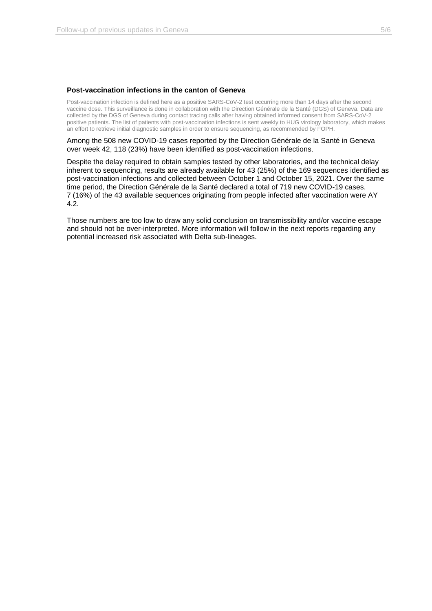## **Post-vaccination infections in the canton of Geneva**

Post-vaccination infection is defined here as a positive SARS-CoV-2 test occurring more than 14 days after the second vaccine dose. This surveillance is done in collaboration with the Direction Générale de la Santé (DGS) of Geneva. Data are collected by the DGS of Geneva during contact tracing calls after having obtained informed consent from SARS-CoV-2 positive patients. The list of patients with post-vaccination infections is sent weekly to HUG virology laboratory, which makes an effort to retrieve initial diagnostic samples in order to ensure sequencing, as recommended by FOPH.

Among the 508 new COVID-19 cases reported by the Direction Générale de la Santé in Geneva over week 42, 118 (23%) have been identified as post-vaccination infections.

Despite the delay required to obtain samples tested by other laboratories, and the technical delay inherent to sequencing, results are already available for 43 (25%) of the 169 sequences identified as post-vaccination infections and collected between October 1 and October 15, 2021. Over the same time period, the Direction Générale de la Santé declared a total of 719 new COVID-19 cases. 7 (16%) of the 43 available sequences originating from people infected after vaccination were AY 4.2.

Those numbers are too low to draw any solid conclusion on transmissibility and/or vaccine escape and should not be over-interpreted. More information will follow in the next reports regarding any potential increased risk associated with Delta sub-lineages.